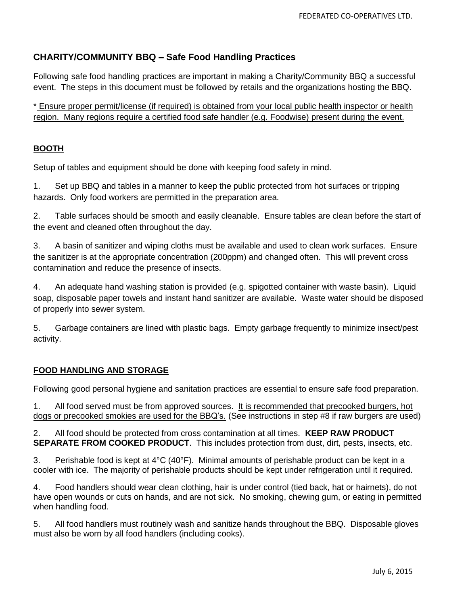## **CHARITY/COMMUNITY BBQ – Safe Food Handling Practices**

Following safe food handling practices are important in making a Charity/Community BBQ a successful event. The steps in this document must be followed by retails and the organizations hosting the BBQ.

\* Ensure proper permit/license (if required) is obtained from your local public health inspector or health region. Many regions require a certified food safe handler (e.g. Foodwise) present during the event.

## **BOOTH**

Setup of tables and equipment should be done with keeping food safety in mind.

1. Set up BBQ and tables in a manner to keep the public protected from hot surfaces or tripping hazards. Only food workers are permitted in the preparation area.

2. Table surfaces should be smooth and easily cleanable. Ensure tables are clean before the start of the event and cleaned often throughout the day.

3. A basin of sanitizer and wiping cloths must be available and used to clean work surfaces. Ensure the sanitizer is at the appropriate concentration (200ppm) and changed often. This will prevent cross contamination and reduce the presence of insects.

4. An adequate hand washing station is provided (e.g. spigotted container with waste basin). Liquid soap, disposable paper towels and instant hand sanitizer are available. Waste water should be disposed of properly into sewer system.

5. Garbage containers are lined with plastic bags. Empty garbage frequently to minimize insect/pest activity.

## **FOOD HANDLING AND STORAGE**

Following good personal hygiene and sanitation practices are essential to ensure safe food preparation.

1. All food served must be from approved sources. It is recommended that precooked burgers, hot dogs or precooked smokies are used for the BBQ's. (See instructions in step #8 if raw burgers are used)

2. All food should be protected from cross contamination at all times. **KEEP RAW PRODUCT SEPARATE FROM COOKED PRODUCT**. This includes protection from dust, dirt, pests, insects, etc.

3. Perishable food is kept at 4°C (40°F). Minimal amounts of perishable product can be kept in a cooler with ice. The majority of perishable products should be kept under refrigeration until it required.

4. Food handlers should wear clean clothing, hair is under control (tied back, hat or hairnets), do not have open wounds or cuts on hands, and are not sick. No smoking, chewing gum, or eating in permitted when handling food.

5. All food handlers must routinely wash and sanitize hands throughout the BBQ. Disposable gloves must also be worn by all food handlers (including cooks).